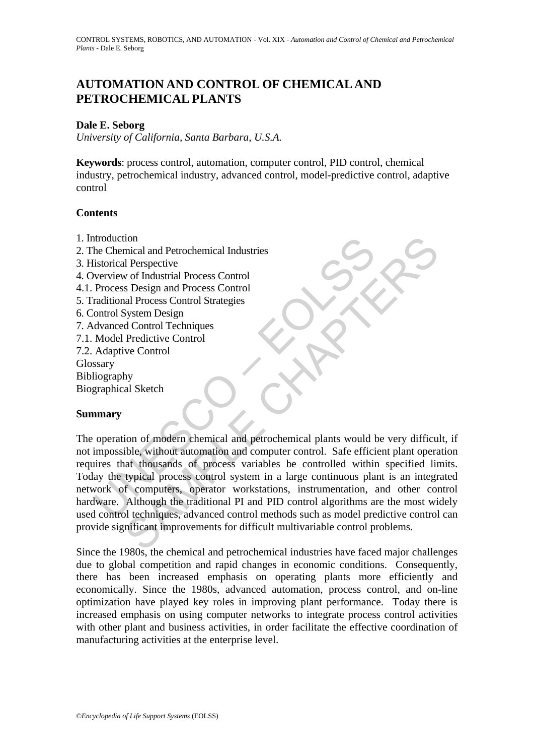# **AUTOMATION AND CONTROL OF CHEMICAL AND PETROCHEMICAL PLANTS**

#### **Dale E. Seborg**

*University of California, Santa Barbara, U.S.A.*

**Keywords**: process control, automation, computer control, PID control, chemical industry, petrochemical industry, advanced control, model-predictive control, adaptive control

## **Contents**

- 1. Introduction
- 2. The Chemical and Petrochemical Industries
- 3. Historical Perspective
- 4. Overview of Industrial Process Control
- 4.1. Process Design and Process Control
- 5. Traditional Process Control Strategies
- 6. Control System Design
- 7. Advanced Control Techniques
- 7.1. Model Predictive Control
- 7.2. Adaptive Control

Glossary

Bibliography

Biographical Sketch

## **Summary**

ntroduction<br>
is Chemical and Petrochemical Industries<br>
istorical Perspective<br>
verview of Industrial Process Control<br>
Process Design and Process Control<br>
Process Design and Process Control<br>
and<br>
and Process Control<br>
System ion<br>
mical and Petrochemical Industries<br>
Il Perspective<br>
vof Industrial Process Control<br>
Si Design and Process Control<br>
Si Design and Process Control<br>
Siystem Design<br>
d Control Techniques<br>
Predictive Control<br>
ive Control<br> The operation of modern chemical and petrochemical plants would be very difficult, if not impossible, without automation and computer control. Safe efficient plant operation requires that thousands of process variables be controlled within specified limits. Today the typical process control system in a large continuous plant is an integrated network of computers, operator workstations, instrumentation, and other control hardware. Although the traditional PI and PID control algorithms are the most widely used control techniques, advanced control methods such as model predictive control can provide significant improvements for difficult multivariable control problems.

Since the 1980s, the chemical and petrochemical industries have faced major challenges due to global competition and rapid changes in economic conditions. Consequently, there has been increased emphasis on operating plants more efficiently and economically. Since the 1980s, advanced automation, process control, and on-line optimization have played key roles in improving plant performance. Today there is increased emphasis on using computer networks to integrate process control activities with other plant and business activities, in order facilitate the effective coordination of manufacturing activities at the enterprise level.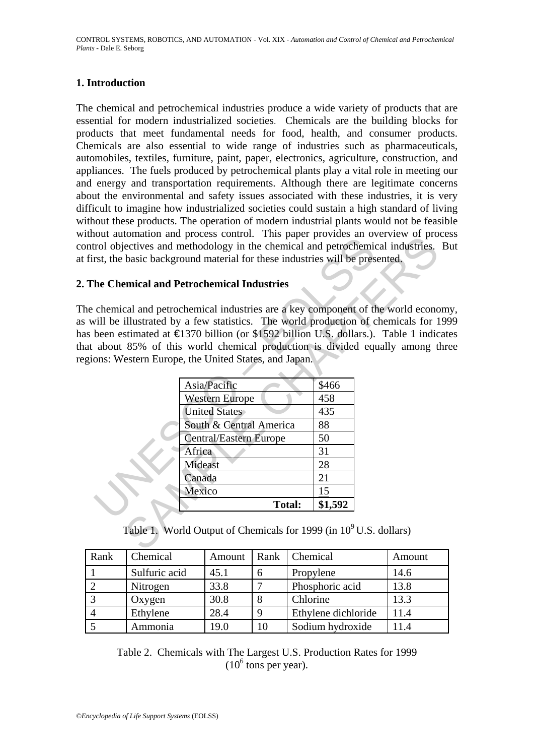#### **1. Introduction**

The chemical and petrochemical industries produce a wide variety of products that are essential for modern industrialized societies. Chemicals are the building blocks for products that meet fundamental needs for food, health, and consumer products. Chemicals are also essential to wide range of industries such as pharmaceuticals, automobiles, textiles, furniture, paint, paper, electronics, agriculture, construction, and appliances. The fuels produced by petrochemical plants play a vital role in meeting our and energy and transportation requirements. Although there are legitimate concerns about the environmental and safety issues associated with these industries, it is very difficult to imagine how industrialized societies could sustain a high standard of living without these products. The operation of modern industrial plants would not be feasible without automation and process control. This paper provides an overview of process control objectives and methodology in the chemical and petrochemical industries. But at first, the basic background material for these industries will be presented.

#### **2. The Chemical and Petrochemical Industries**

The chemical and petrochemical industries are a key component of the world economy, as will be illustrated by a few statistics. The world production of chemicals for 1999 has been estimated at €1370 billion (or \$1592 billion U.S. dollars.). Table 1 indicates that about 85% of this world chemical production is divided equally among three regions: Western Europe, the United States, and Japan.

| he Chemical and Petrochemical Industries                                         |         |  |
|----------------------------------------------------------------------------------|---------|--|
|                                                                                  |         |  |
| chemical and petrochemical industries are a key component of the world econo     |         |  |
| vill be illustrated by a few statistics. The world production of chemicals for 1 |         |  |
| been estimated at €1370 billion (or \$1592 billion U.S. dollars.). Table 1 indic |         |  |
| about 85% of this world chemical production is divided equally among to          |         |  |
| ons: Western Europe, the United States, and Japan.                               |         |  |
| Asia/Pacific                                                                     | \$466   |  |
| <b>Western Europe</b>                                                            | 458     |  |
| <b>United States</b>                                                             | 435     |  |
| South & Central America                                                          | 88      |  |
| <b>Central/Eastern Europe</b>                                                    | 50      |  |
| Africa                                                                           | 31      |  |
| Mideast                                                                          | 28      |  |
| Canada                                                                           | 21      |  |
| Mexico                                                                           | 15      |  |
|                                                                                  | \$1,592 |  |

Table 1. World Output of Chemicals for 1999 (in  $10^9$  U.S. dollars)

| Rank | Chemical      | Amount |              | Rank   Chemical     | Amount |
|------|---------------|--------|--------------|---------------------|--------|
|      | Sulfuric acid | 45.1   | <sub>0</sub> | Propylene           | 14.6   |
|      | Nitrogen      | 33.8   |              | Phosphoric acid     | 13.8   |
|      | Oxygen        | 30.8   |              | Chlorine            | 13.3   |
|      | Ethylene      | 28.4   |              | Ethylene dichloride | 11.4   |
|      | Ammonia       | 19.0   | 10           | Sodium hydroxide    | 11.4   |

Table 2. Chemicals with The Largest U.S. Production Rates for 1999  $(10^6 \text{ tons per year}).$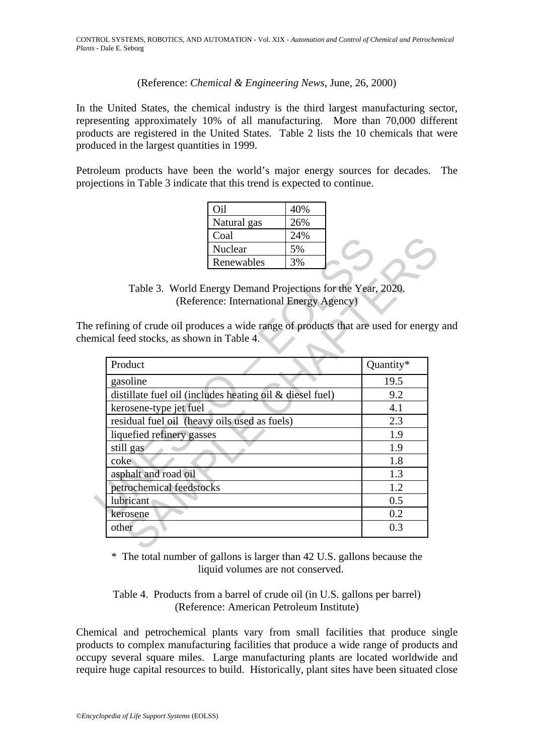(Reference: *Chemical & Engineering News*, June, 26, 2000)

In the United States, the chemical industry is the third largest manufacturing sector, representing approximately 10% of all manufacturing. More than 70,000 different products are registered in the United States. Table 2 lists the 10 chemicals that were produced in the largest quantities in 1999.

Petroleum products have been the world's major energy sources for decades. The projections in Table 3 indicate that this trend is expected to continue.

| Эil         | 40% |  |
|-------------|-----|--|
| Natural gas | 26% |  |
| Coal        | 24% |  |
| Nuclear     | 5%  |  |
| Renewables  |     |  |

Table 3. World Energy Demand Projections for the Year, 2020. (Reference: International Energy Agency)

The refining of crude oil produces a wide range of products that are used for energy and chemical feed stocks, as shown in Table 4.

|                                                          | Coal                                                                             | 24% |           |
|----------------------------------------------------------|----------------------------------------------------------------------------------|-----|-----------|
|                                                          | Nuclear                                                                          | 5%  |           |
|                                                          | Renewables                                                                       | 3%  |           |
|                                                          |                                                                                  |     |           |
|                                                          | Table 3. World Energy Demand Projections for the Year, 2020.                     |     |           |
|                                                          | (Reference: International Energy Agency)                                         |     |           |
|                                                          |                                                                                  |     |           |
|                                                          | refining of crude oil produces a wide range of products that are used for energy |     |           |
|                                                          | nical feed stocks, as shown in Table 4.                                          |     |           |
| Product                                                  |                                                                                  |     | Quantity* |
| gasoline                                                 |                                                                                  |     | 19.5      |
| distillate fuel oil (includes heating oil & diesel fuel) | 9.2                                                                              |     |           |
| kerosene-type jet fuel                                   | 4.1                                                                              |     |           |
| residual fuel oil (heavy oils used as fuels)             | 2.3                                                                              |     |           |
| liquefied refinery gasses                                |                                                                                  |     | 1.9       |
| still gas                                                | 1.9                                                                              |     |           |
| coke                                                     | 1.8                                                                              |     |           |
| asphalt and road oil                                     | 1.3                                                                              |     |           |
| petrochemical feedstocks                                 | 1.2                                                                              |     |           |
| lubricant                                                |                                                                                  |     | 0.5       |
|                                                          |                                                                                  |     |           |
| kerosene                                                 |                                                                                  |     | 0.2       |

\* The total number of gallons is larger than 42 U.S. gallons because the liquid volumes are not conserved.

Table 4. Products from a barrel of crude oil (in U.S. gallons per barrel) (Reference: American Petroleum Institute)

Chemical and petrochemical plants vary from small facilities that produce single products to complex manufacturing facilities that produce a wide range of products and occupy several square miles. Large manufacturing plants are located worldwide and require huge capital resources to build. Historically, plant sites have been situated close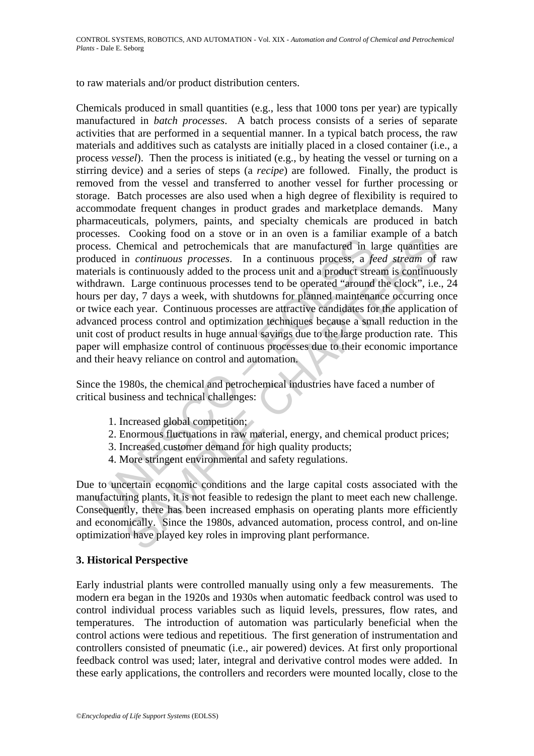to raw materials and/or product distribution centers.

Existed in continuous processes. Coming from the offer and over a mean of the manufactured in the duced in *continuous processes*. In a continuous processes,  $\frac{1}{2}$  and  $\frac{1}{2}$  and  $\frac{1}{2}$  and  $\frac{1}{2}$  and  $\frac{1}{2$ Cooking root on a sove of m an overn is a channear example of a b cooking continuous processes. In a continuous processes, a *feed stream* of continuously added to the process unit and a product stream is continuous and a Chemicals produced in small quantities (e.g., less that 1000 tons per year) are typically manufactured in *batch processes*. A batch process consists of a series of separate activities that are performed in a sequential manner. In a typical batch process, the raw materials and additives such as catalysts are initially placed in a closed container (i.e., a process *vessel*). Then the process is initiated (e.g., by heating the vessel or turning on a stirring device) and a series of steps (a *recipe*) are followed. Finally, the product is removed from the vessel and transferred to another vessel for further processing or storage. Batch processes are also used when a high degree of flexibility is required to accommodate frequent changes in product grades and marketplace demands. Many pharmaceuticals, polymers, paints, and specialty chemicals are produced in batch processes. Cooking food on a stove or in an oven is a familiar example of a batch process. Chemical and petrochemicals that are manufactured in large quantities are produced in *continuous processes*. In a continuous process, a *feed stream* of raw materials is continuously added to the process unit and a product stream is continuously withdrawn. Large continuous processes tend to be operated "around the clock", i.e., 24 hours per day, 7 days a week, with shutdowns for planned maintenance occurring once or twice each year. Continuous processes are attractive candidates for the application of advanced process control and optimization techniques because a small reduction in the unit cost of product results in huge annual savings due to the large production rate. This paper will emphasize control of continuous processes due to their economic importance and their heavy reliance on control and automation.

Since the 1980s, the chemical and petrochemical industries have faced a number of critical business and technical challenges:

- 1. Increased global competition;
- 2. Enormous fluctuations in raw material, energy, and chemical product prices;
- 3. Increased customer demand for high quality products;
- 4. More stringent environmental and safety regulations.

Due to uncertain economic conditions and the large capital costs associated with the manufacturing plants, it is not feasible to redesign the plant to meet each new challenge. Consequently, there has been increased emphasis on operating plants more efficiently and economically. Since the 1980s, advanced automation, process control, and on-line optimization have played key roles in improving plant performance.

#### **3. Historical Perspective**

Early industrial plants were controlled manually using only a few measurements. The modern era began in the 1920s and 1930s when automatic feedback control was used to control individual process variables such as liquid levels, pressures, flow rates, and temperatures. The introduction of automation was particularly beneficial when the control actions were tedious and repetitious. The first generation of instrumentation and controllers consisted of pneumatic (i.e., air powered) devices. At first only proportional feedback control was used; later, integral and derivative control modes were added. In these early applications, the controllers and recorders were mounted locally, close to the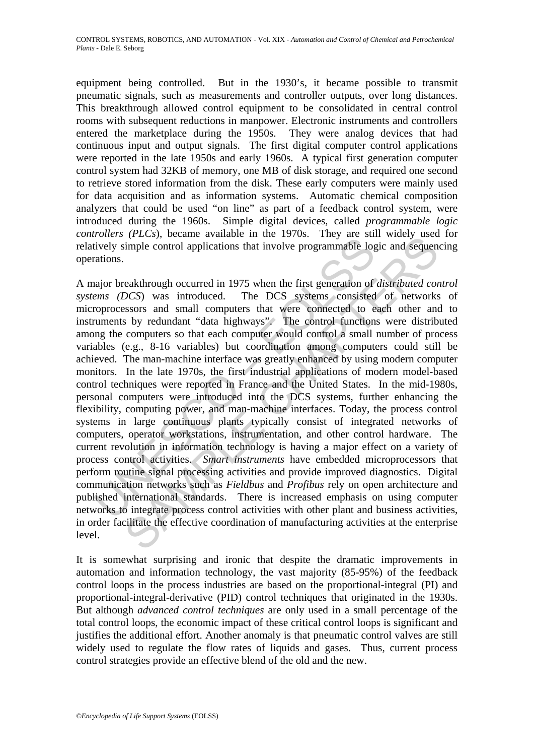equipment being controlled. But in the 1930's, it became possible to transmit pneumatic signals, such as measurements and controller outputs, over long distances. This breakthrough allowed control equipment to be consolidated in central control rooms with subsequent reductions in manpower. Electronic instruments and controllers entered the marketplace during the 1950s. They were analog devices that had continuous input and output signals. The first digital computer control applications were reported in the late 1950s and early 1960s. A typical first generation computer control system had 32KB of memory, one MB of disk storage, and required one second to retrieve stored information from the disk. These early computers were mainly used for data acquisition and as information systems. Automatic chemical composition analyzers that could be used "on line" as part of a feedback control system, were introduced during the 1960s. Simple digital devices, called *programmable logic controllers (PLCs*), became available in the 1970s. They are still widely used for relatively simple control applications that involve programmable logic and sequencing operations.

bively simple control applications that involve programmable log<br>tively simple control applications that involve programmable log<br>and or break through occurred in 1975 when the first generation of<br>rations.<br>noticescosts and (*FEC*s), occanne avariable in the 1976s. They are stim where vastally<br>simple control applications that involve programmable logic and sequen-<br>eakthrough occurred in 1975 when the first generation of *distributed co*<br>OCS) A major breakthrough occurred in 1975 when the first generation of *distributed control systems (DCS*) was introduced. The DCS systems consisted of networks of microprocessors and small computers that were connected to each other and to instruments by redundant "data highways". The control functions were distributed among the computers so that each computer would control a small number of process variables (e.g., 8-16 variables) but coordination among computers could still be achieved. The man-machine interface was greatly enhanced by using modern computer monitors. In the late 1970s, the first industrial applications of modern model-based control techniques were reported in France and the United States. In the mid-1980s, personal computers were introduced into the DCS systems, further enhancing the flexibility, computing power, and man-machine interfaces. Today, the process control systems in large continuous plants typically consist of integrated networks of computers, operator workstations, instrumentation, and other control hardware. The current revolution in information technology is having a major effect on a variety of process control activities. *Smart instruments* have embedded microprocessors that perform routine signal processing activities and provide improved diagnostics. Digital communication networks such as *Fieldbus* and *Profibus* rely on open architecture and published international standards. There is increased emphasis on using computer networks to integrate process control activities with other plant and business activities, in order facilitate the effective coordination of manufacturing activities at the enterprise level.

It is somewhat surprising and ironic that despite the dramatic improvements in automation and information technology, the vast majority (85-95%) of the feedback control loops in the process industries are based on the proportional-integral (PI) and proportional-integral-derivative (PID) control techniques that originated in the 1930s. But although *advanced control techniques* are only used in a small percentage of the total control loops, the economic impact of these critical control loops is significant and justifies the additional effort. Another anomaly is that pneumatic control valves are still widely used to regulate the flow rates of liquids and gases. Thus, current process control strategies provide an effective blend of the old and the new.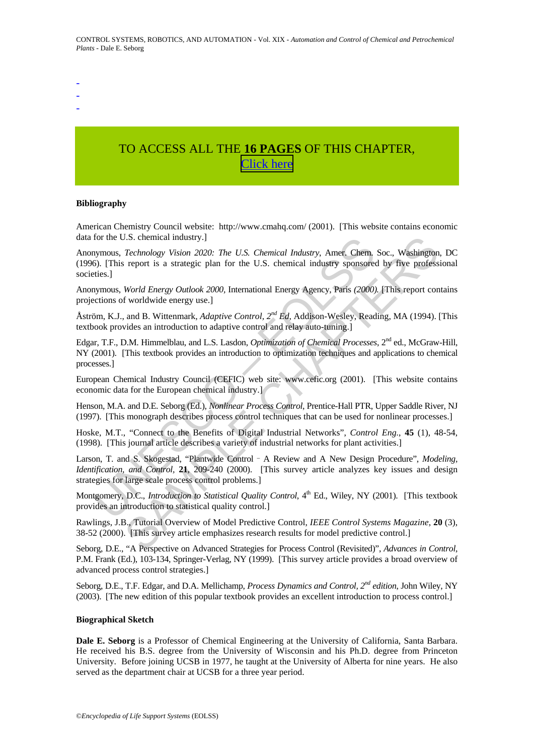- -

-

## TO ACCESS ALL THE **16 PAGES** OF THIS CHAPTER, [C](https://www.eolss.net/ebooklib/sc_cart.aspx?File=E6-43-34-02)[lick here](http://www.eolss.net/Eolss-sampleAllChapter.aspx)

#### **Bibliography**

American Chemistry Council website: http://www.cmahq.com/ (2001). [This website contains economic data for the U.S. chemical industry.]

for the U.S. chemical industry.]<br>
Solonomy, *Technology Vision 2020: The U.S. Chemical Industry*, Amer. Chem,<br>
Sp. (This report is a strategic plan for the U.S. chemical industry sponsore<br>
Significations of worldwide energ J.S. chemical industry.]<br> *Technology Vision 2020: The U.S. Chemical Industry*, Amer. Chem, Soc., Washington<br>
report is a strategic plan for the U.S. chemical industry sponsored by five profess<br> *World Energy Outlook 2000* Anonymous, *Technology Vision 2020: The U.S. Chemical Industry*, Amer. Chem. Soc., Washington, DC (1996). [This report is a strategic plan for the U.S. chemical industry sponsored by five professional societies.]

Anonymous, *World Energy Outlook 2000,* International Energy Agency, Paris *(2000).* [This report contains projections of worldwide energy use.]

Åström, K.J., and B. Wittenmark, *Adaptive Control, 2nd Ed,* Addison-Wesley, Reading, MA (1994). [This textbook provides an introduction to adaptive control and relay auto-tuning.]

Edgar, T.F., D.M. Himmelblau, and L.S. Lasdon, *Optimization of Chemical Processes*, 2nd ed., McGraw-Hill, NY (2001). [This textbook provides an introduction to optimization techniques and applications to chemical processes.]

European Chemical Industry Council (CEFIC) web site: www.cefic.org (2001). [This website contains economic data for the European chemical industry.]

Henson, M.A. and D.E. Seborg (Ed.), *Nonlinear Process Control*, Prentice-Hall PTR, Upper Saddle River, NJ (1997). [This monograph describes process control techniques that can be used for nonlinear processes.]

Hoske, M.T., "Connect to the Benefits of Digital Industrial Networks", *Control Eng.*, **45** (1), 48-54, (1998). [This journal article describes a variety of industrial networks for plant activities.]

Larson, T. and S. Skogestad, "Plantwide Control - A Review and A New Design Procedure", *Modeling*, *Identification, and Control,* **21**, 209-240 (2000). [This survey article analyzes key issues and design strategies for large scale process control problems.]

Montgomery, D.C., *Introduction to Statistical Quality Control*, 4<sup>th</sup> Ed., Wiley, NY (2001). [This textbook provides an introduction to statistical quality control.]

Rawlings, J.B., Tutorial Overview of Model Predictive Control, *IEEE Control Systems Magazine*, **20** (3), 38-52 (2000). [This survey article emphasizes research results for model predictive control.]

Seborg, D.E., "A Perspective on Advanced Strategies for Process Control (Revisited)", *Advances in Control*, P.M. Frank (Ed.), 103-134, Springer-Verlag, NY (1999). [This survey article provides a broad overview of advanced process control strategies.]

Seborg, D.E., T.F. Edgar, and D.A. Mellichamp, *Process Dynamics and Control, 2nd edition*, John Wiley, NY (2003). [The new edition of this popular textbook provides an excellent introduction to process control.]

#### **Biographical Sketch**

**Dale E. Seborg** is a Professor of Chemical Engineering at the University of California, Santa Barbara. He received his B.S. degree from the University of Wisconsin and his Ph.D. degree from Princeton University. Before joining UCSB in 1977, he taught at the University of Alberta for nine years. He also served as the department chair at UCSB for a three year period.